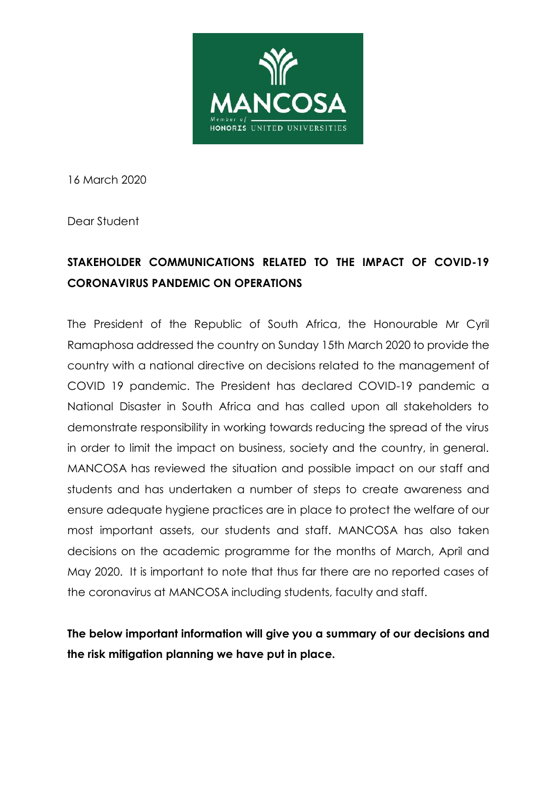

16 March 2020

Dear Student

# **STAKEHOLDER COMMUNICATIONS RELATED TO THE IMPACT OF COVID-19 CORONAVIRUS PANDEMIC ON OPERATIONS**

The President of the Republic of South Africa, the Honourable Mr Cyril Ramaphosa addressed the country on Sunday 15th March 2020 to provide the country with a national directive on decisions related to the management of COVID 19 pandemic. The President has declared COVID-19 pandemic a National Disaster in South Africa and has called upon all stakeholders to demonstrate responsibility in working towards reducing the spread of the virus in order to limit the impact on business, society and the country, in general. MANCOSA has reviewed the situation and possible impact on our staff and students and has undertaken a number of steps to create awareness and ensure adequate hygiene practices are in place to protect the welfare of our most important assets, our students and staff. MANCOSA has also taken decisions on the academic programme for the months of March, April and May 2020. It is important to note that thus far there are no reported cases of the coronavirus at MANCOSA including students, faculty and staff.

**The below important information will give you a summary of our decisions and the risk mitigation planning we have put in place.**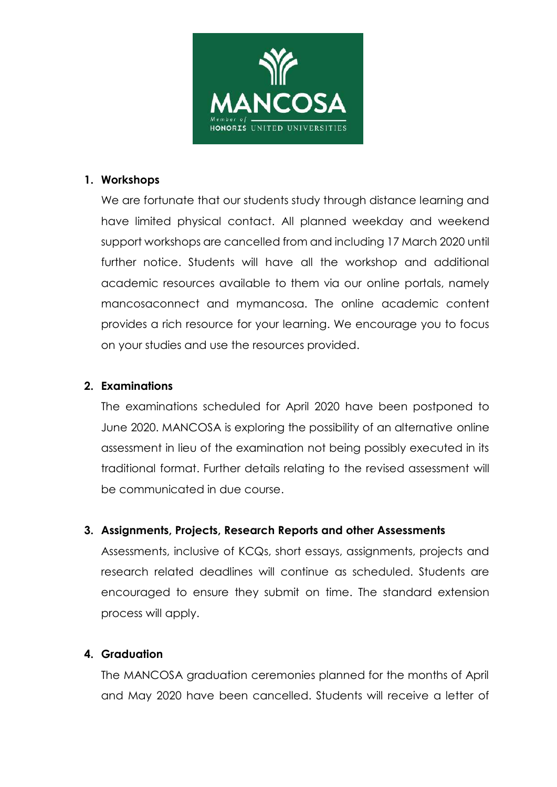

#### **1. Workshops**

We are fortunate that our students study through distance learning and have limited physical contact. All planned weekday and weekend support workshops are cancelled from and including 17 March 2020 until further notice. Students will have all the workshop and additional academic resources available to them via our online portals, namely mancosaconnect and mymancosa. The online academic content provides a rich resource for your learning. We encourage you to focus on your studies and use the resources provided.

#### **2. Examinations**

The examinations scheduled for April 2020 have been postponed to June 2020. MANCOSA is exploring the possibility of an alternative online assessment in lieu of the examination not being possibly executed in its traditional format. Further details relating to the revised assessment will be communicated in due course.

## **3. Assignments, Projects, Research Reports and other Assessments**

Assessments, inclusive of KCQs, short essays, assignments, projects and research related deadlines will continue as scheduled. Students are encouraged to ensure they submit on time. The standard extension process will apply.

## **4. Graduation**

The MANCOSA graduation ceremonies planned for the months of April and May 2020 have been cancelled. Students will receive a letter of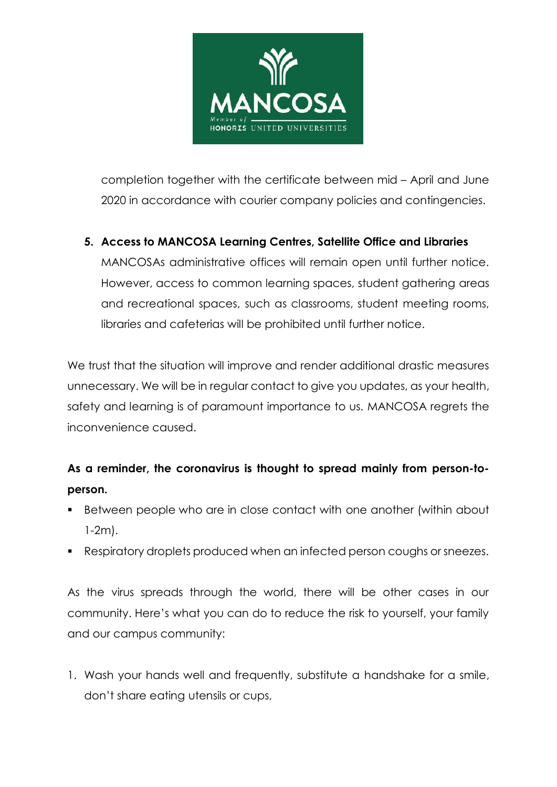

completion together with the certificate between mid – April and June 2020 in accordance with courier company policies and contingencies.

## **5. Access to MANCOSA Learning Centres, Satellite Office and Libraries**

MANCOSAs administrative offices will remain open until further notice. However, access to common learning spaces, student gathering areas and recreational spaces, such as classrooms, student meeting rooms, libraries and cafeterias will be prohibited until further notice.

We trust that the situation will improve and render additional drastic measures unnecessary. We will be in regular contact to give you updates, as your health, safety and learning is of paramount importance to us. MANCOSA regrets the inconvenience caused.

# **As a reminder, the coronavirus is thought to spread mainly from person-toperson.**

- Between people who are in close contact with one another (within about 1-2m).
- Respiratory droplets produced when an infected person coughs or sneezes.

As the virus spreads through the world, there will be other cases in our community. Here's what you can do to reduce the risk to yourself, your family and our campus community:

1. Wash your hands well and frequently, substitute a handshake for a smile, don't share eating utensils or cups,